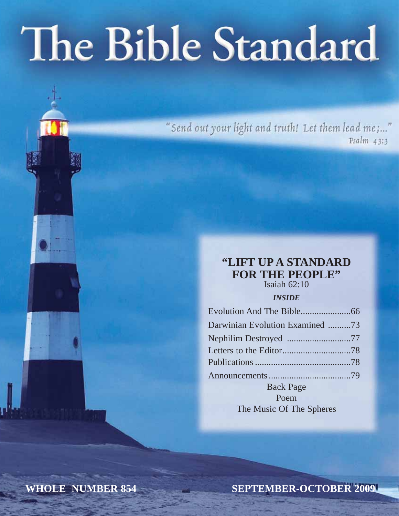# The Bible Standard

"Send out your light and truth! Let them lead me;..."  $Psalm$  43:3

### **"LIFT UP A STANDARD FOR THE PEOPLE"**

Isaiah 62:10

*INSIDE*

| Darwinian Evolution Examined 73 |  |
|---------------------------------|--|
|                                 |  |
|                                 |  |
|                                 |  |
|                                 |  |
| <b>Back Page</b>                |  |
| Poem                            |  |

The Music Of The Spheres

**WHOLE NUMBER 854**

**SEPTEMBER-OCTOBER 2009**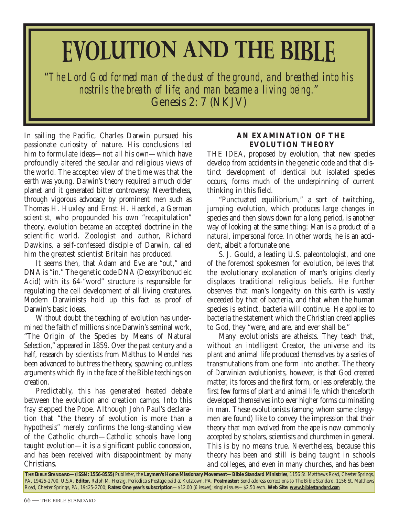# **EVOLUTION AND THE BIBLE**

"*The Lord God formed man of the dust of the ground, and breathed into his nostrils the breath of life; and man became a living being.*" Genesis 2: 7 (NKJV)

In sailing the Pacific, Charles Darwin pursued his passionate curiosity of nature. His conclusions led him to formulate ideas—not all his own—which have profoundly altered the secular and religious views of the world. The accepted view of the time was that the earth was young. Darwin's theory required a much older planet and it generated bitter controversy. Nevertheless, through vigorous advocacy by prominent men such as Thomas H. Huxley and Ernst H. Haeckel, a German scientist, who propounded his own "recapitulation" theory, evolution became an accepted doctrine in the scientific world. Zoologist and author, Richard Dawkins, a self-confessed disciple of Darwin, called him the greatest scientist Britain has produced.

It seems then, that Adam and Eve are "out," and DNA is "in." The genetic code DNA (Deoxyribonucleic Acid) with its 64-"word" structure is responsible for regulating the cell development of all living creatures. Modern Darwinists hold up this fact as proof of Darwin's basic ideas.

Without doubt the teaching of evolution has undermined the faith of millions since Darwin's seminal work, "The Origin of the Species by Means of Natural Selection," appeared in 1859. Over the past century and a half, research by scientists from Malthus to Mendel has been advanced to buttress the theory, spawning countless arguments which fly in the face of the Bible teachings on creation.

Predictably, this has generated heated debate between the evolution and creation camps. Into this fray stepped the Pope. Although John Paul's declaration that "the theory of evolution is more than a hypothesis" merely confirms the long-standing view of the Catholic church—Catholic schools have long taught evolution—it is a significant public concession, and has been received with disappointment by many Christians.

#### **AN EXAMINATION OF THE EVOLUTION THEORY**

THE IDEA, proposed by evolution, that new species develop from accidents in the genetic code and that distinct development of identical but isolated species occurs, forms much of the underpinning of current thinking in this field.

"Punctuated equilibrium," a sort of twitching, jumping evolution, which produces large changes in species and then slows down for a long period, is another way of looking at the same thing: Man is a product of a natural, impersonal force. In other words, he is an accident, albeit a fortunate one.

S. J. Gould, a leading U.S. paleontologist, and one of the foremost spokesmen for evolution, believes that the evolutionary explanation of man's origins clearly displaces traditional religious beliefs. He further observes that man's longevity on this earth is vastly exceeded by that of bacteria, and that when the human species is extinct, bacteria will continue. He applies to bacteria the statement which the Christian creed applies to God, they "were, and are, and ever shall be."

Many evolutionists are atheists. They teach that, without an intelligent Creator, the universe and its plant and animal life produced themselves by a series of transmutations from one form into another. The theory of Darwinian evolutionists, however, is that God created matter, its forces and the first form, or less preferably, the first few forms of plant and animal life, which thenceforth developed themselves into ever higher forms culminating in man. These evolutionists (among whom some clergymen are found) like to convey the impression that their theory that man evolved from the ape is now commonly accepted by scholars, scientists and churchmen in general. This is by no means true. Nevertheless, because this theory has been and still is being taught in schools and colleges, and even in many churches, and has been

**THE BIBLE STANDARD—(ISSN: 1556-8555)** Publisher, the **Laymen's Home Missionary Movement—Bible Standard Ministries**, 1156 St. Matthews Road, Chester Springs, PA, 19425-2700, U.S.A. **Editor,** Ralph M. Herzig. Periodicals Postage paid at Kutztown, PA. **Postmaster:** Send address corrections to The Bible Standard, 1156 St. Matthews Road, Chester Springs, PA, 19425-2700; **Rates: One year's subscription**—\$12.00 (6 issues); single issues—\$2.50 each. **Web Site:** *www.biblestandard.com*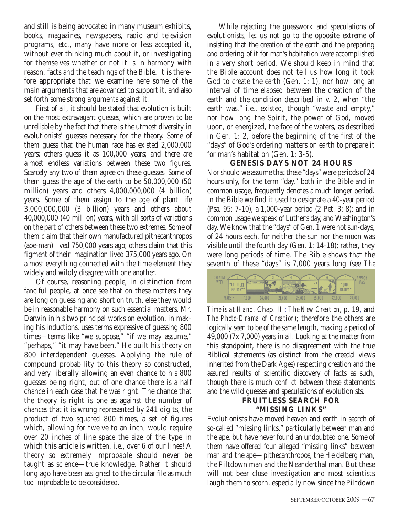and still is being advocated in many museum exhibits, books, magazines, newspapers, radio and television programs, etc., many have more or less accepted it, without ever thinking much about it, or investigating for themselves whether or not it is in harmony with reason, facts and the teachings of the Bible. It is therefore appropriate that we examine here some of the main arguments that are advanced to support it, and also set forth some strong arguments against it.

First of all, it should be stated that evolution is built on the most extravagant guesses, which are proven to be unreliable by the fact that there is the utmost diversity in evolutionists' guesses necessary for the theory. Some of them guess that the human race has existed 2,000,000 years; others guess it as 100,000 years; and there are almost endless variations between these two figures. Scarcely any two of them agree on these guesses. Some of them guess the age of the earth to be 50,000,000 (50 million) years and others 4,000,000,000 (4 billion) years. Some of them assign to the age of plant life 3,000,000,000 (3 billion) years and others about 40,000,000 (40 million) years, with all sorts of variations on the part of others between these two extremes. Some of them claim that their own manufactured pithecanthropos (ape-man) lived 750,000 years ago; others claim that this figment of their imagination lived 375,000 years ago. On almost everything connected with the time element they widely and wildly disagree with one another.

Of course, reasoning people, in distinction from fanciful people, at once see that on these matters they are long on guessing and short on truth, else they would be in reasonable harmony on such essential matters. Mr. Darwin in his two principal works on evolution, in making his inductions, uses terms expressive of guessing 800 times—terms like "we suppose," "if we may assume," "perhaps," "it may have been." He built his theory on 800 interdependent guesses. Applying the rule of compound probability to this theory so constructed, and very liberally allowing an even chance to his 800 guesses being right, out of one chance there is a half chance in each case that he was right. The chance that the theory is right is one as against the number of chances that it is wrong represented by 241 digits, the product of two squared 800 times, a set of figures which, allowing for twelve to an inch, would require over 20 inches of line space the size of the type in which this article is written, i.e., over 6 of our lines! A theory so extremely improbable should never be taught as science—true knowledge. Rather it should long ago have been assigned to the circular file as much too improbable to be considered.

While rejecting the guesswork and speculations of evolutionists, let us not go to the opposite extreme of insisting that the creation of the earth and the preparing and ordering of it for man's habitation were accomplished in a very short period. We should keep in mind that the Bible account does not tell us how long it took God to create the earth (Gen. 1: 1), nor how long an interval of time elapsed between the creation of the earth and the condition described in v. 2, when "the earth was," i.e., existed, though "waste and empty," nor how long the Spirit, the power of God, moved upon, or energized, the face of the waters, as described in Gen. 1: 2, before the beginning of the first of the "days" of God's ordering matters on earth to prepare it for man's habitation (Gen. 1: 3-5).

#### **GENESIS DAYS NOT 24 HOURS**

Nor should we assume that these "days" were periods of 24 hours only, for the term "day," both in the Bible and in common usage, frequently denotes a much longer period. In the Bible we find it used to designate a 40-year period (Psa. 95: 7-10), a 1,000-year period (2 Pet. 3: 8); and in common usage we speak of Luther's day, and Washington's day. We know that the "days" of Gen. 1 were not sun-days, of 24 hours each, for neither the sun nor the moon was visible until the fourth day (Gen. 1: 14-18); rather, they were long periods of time. The Bible shows that the seventh of these "days" is 7,000 years long (see *The*



*Time is at Hand,* Chap. II ; *The New Creation*, p. 19, and *The Photo-Drama of Creation*); therefore the others are logically seen to be of the same length, making a period of 49,000 (7x 7,000) years in all. Looking at the matter from this standpoint, there is no disagreement with the true Biblical statements (as distinct from the creedal views inherited from the Dark Ages) respecting creation and the assured results of scientific discovery of facts as such, though there is much conflict between these statements and the wild guesses and speculations of evolutionists.

#### **FRUITLESS SEARCH FOR "MISSING LINKS"**

Evolutionists have moved heaven and earth in search of so-called "missing links," particularly between man and the ape, but have never found an undoubted one. Some of them have offered four alleged "missing links" between man and the ape—pithecanthropos, the Heidelberg man, the Piltdown man and the Neanderthal man. But these will not bear close investigation and most scientists laugh them to scorn, especially now since the Piltdown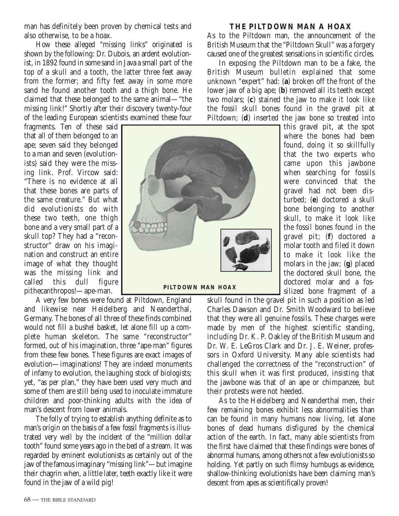man has definitely been proven by chemical tests and also otherwise, to be a hoax.

How these alleged "missing links" originated is shown by the following: Dr. Dubois, an ardent evolutionist, in 1892 found in some sand in Java a small part of the top of a skull and a tooth, the latter three feet away from the former; and fifty feet away in some more sand he found another tooth and a thigh bone. He claimed that these belonged to the same animal—"the missing link!" Shortly after their discovery twenty-four of the leading European scientists examined these four

fragments. Ten of these said that all of them belonged to an ape; seven said they belonged to a man and seven (evolutionists) said they were the missing link. Prof. Vircow said: "There is no evidence at all that these bones are parts of the same creature." But what did evolutionists do with these two teeth, one thigh bone and a very small part of a skull top? They had a "reconstructor" draw on his imagination and construct an entire image of what they thought was the missing link and called this dull figure pithecanthropos!—ape-man.

A very few bones were found at Piltdown, England and likewise near Heidelberg and Neanderthal, Germany. The bones of all three of these finds combined would not fill a bushel basket, let alone fill up a complete human skeleton. The same "reconstructor" formed, out of his imagination, three "ape-man" figures from these few bones. These figures are exact images of evolution—imaginations! They are indeed monuments of infamy to evolution, the laughing stock of biologists; yet, "as per plan," they have been used very much and some of them are still being used to inoculate immature children and poor-thinking adults with the idea of man's descent from lower animals.

The folly of trying to establish anything definite as to man's origin on the basis of a few fossil fragments is illustrated very well by the incident of the "million dollar tooth" found some years ago in the bed of a stream. It was regarded by eminent evolutionists as certainly out of the jaw of the famous imaginary "missing link"—but imagine their chagrin when, a little later, teeth exactly like it were found in the jaw of a wild pig!

#### **THE PILTDOWN MAN A HOAX**

As to the Piltdown man, the announcement of the British Museum that the "Piltdown Skull" was a forgery caused one of the greatest sensations in scientific circles.

In exposing the Piltdown man to be a fake, the British Museum bulletin explained that some unknown "expert" had: (**a**) broken off the front of the lower jaw of a big ape; (**b**) removed all its teeth except two molars; (**c**) stained the jaw to make it look like the fossil skull bones found in the gravel pit at Piltdown; (**d**) inserted the jaw bone so treated into

this gravel pit, at the spot where the bones had been found, doing it so skillfully that the two experts who came upon this jawbone when searching for fossils were convinced that the gravel had not been disturbed; (**e**) doctored a skull bone belonging to another skull, to make it look like the fossil bones found in the gravel pit; (**f**) doctored a molar tooth and filed it down to make it look like the molars in the jaw; (**g**) placed the doctored skull bone, the doctored molar and a fossilized bone fragment of a

skull found in the gravel pit in such a position as led Charles Dawson and Dr. Smith Woodward to believe that they were all genuine fossils. These charges were made by men of the highest scientific standing, including Dr. K. P. Oakley of the British Museum and Dr. W. E. LeGros Clark and Dr. J. E. Weiner, professors in Oxford University. Many able scientists had challenged the correctness of the "reconstruction" of this skull when it was first produced, insisting that the jawbone was that of an ape or chimpanzee, but their protests were not heeded.

As to the Heidelberg and Neanderthal men, their few remaining bones exhibit less abnormalities than can be found in many humans now living, let alone bones of dead humans disfigured by the chemical action of the earth. In fact, many able scientists from the first have claimed that these findings were bones of abnormal humans, among others not a few evolutionists so holding. Yet partly on such flimsy humbugs as evidence, shallow-thinking evolutionists have been claiming man's descent from apes as scientifically proven!

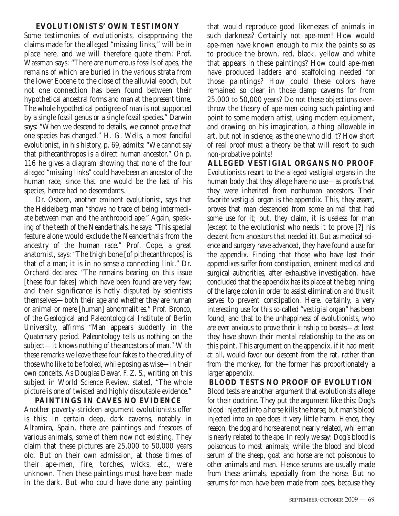#### **EVOLUTIONISTS' OWN TESTIMONY**

Some testimonies of evolutionists, disapproving the claims made for the alleged "missing links," will be in place here, and we will therefore quote them: Prof. Wassman says: "There are numerous fossils of apes, the remains of which are buried in the various strata from the lower Eocene to the close of the alluvial epoch, but not one connection has been found between their hypothetical ancestral forms and man at the present time. The whole hypothetical pedigree of man is not supported by a single fossil genus or a single fossil species." Darwin says: "When we descend to details, we cannot prove that one species has changed." H. G. Wells, a most fanciful evolutionist, in his history, p. 69, admits: "We cannot say that pithecanthropos is a direct human ancestor." On p. 116 he gives a diagram showing that none of the four alleged "missing links" could have been an ancestor of the human race, since that one would be the last of his species, hence had no descendants.

Dr. Osborn, another eminent evolutionist, says that the Heidelberg man "shows no trace of being intermediate between man and the anthropoid ape." Again, speaking of the teeth of the Neanderthals, he says: "This special feature alone would exclude the Neanderthals from the ancestry of the human race." Prof. Cope, a great anatomist, says: "The thigh bone [of pithecanthropos] is that of a man; it is in no sense a connecting link." Dr. Orchard declares: "The remains bearing on this issue [these four fakes] which have been found are very few; and their significance is hotly disputed by scientists themselves—both their age and whether they are human or animal or mere [human] abnormalities." Prof. Bronco, of the Geological and Paleontological Institute of Berlin University, affirms "Man appears suddenly in the Quaternary period. Paleontology tells us nothing on the subject—it knows nothing of the ancestors of man." With these remarks we leave these four fakes to the credulity of those who like to be fooled, while posing as wise—in their own conceits. As Douglas Dewar, F. Z. S., writing on this subject in World Science Review, stated, "The whole picture is one of twisted and highly disputable evidence."

**PAINTINGS IN CAVES NO EVIDENCE** Another poverty-stricken argument evolutionists offer is this: In certain deep, dark caverns, notably in Altamira, Spain, there are paintings and frescoes of various animals, some of them now not existing. They claim that these pictures are 25,000 to 50,000 years old. But on their own admission, at those times of their ape-men, fire, torches, wicks, etc., were unknown. Then these paintings must have been made in the dark. But who could have done any painting that would reproduce good likenesses of animals in such darkness? Certainly not ape-men! How would ape-men have known enough to mix the paints so as to produce the brown, red, black, yellow and white that appears in these paintings? How could ape-men have produced ladders and scaffolding needed for those paintings? How could these colors have remained so clear in those damp caverns for from 25,000 to 50,000 years? Do not these objections overthrow the theory of ape-men doing such painting and point to some modern artist, using modern equipment, and drawing on his imagination, a thing allowable in art, but not in science, as the one who did it? How short of real proof must a theory be that will resort to such non-probative points!

**ALLEGED VESTIGIAL ORGANS NO PROOF** Evolutionists resort to the alleged vestigial organs in the human body that they allege have no use—as proofs that they were inherited from nonhuman ancestors. Their favorite vestigial organ is the appendix. This, they assert, proves that man descended from some animal that had some use for it; but, they claim, it is useless for man (except to the evolutionist who needs it to prove [?] his descent from ancestors that needed it). But as medical science and surgery have advanced, they have found a use for the appendix. Finding that those who have lost their appendixes suffer from constipation, eminent medical and surgical authorities, after exhaustive investigation, have concluded that the appendix has its place at the beginning of the large colon in order to assist elimination and thus it serves to prevent constipation. Here, certainly, a very interesting use for this so-called "vestigial organ" has been found, and that to the unhappiness of evolutionists, who are ever anxious to prove their kinship to beasts—at least they have shown their mental relationship to the ass on this point. This argument on the appendix, if it had merit at all, would favor our descent from the rat, rather than from the monkey, for the former has proportionately a larger appendix.

**BLOOD TESTS NO PROOF OF EVOLUTION** Blood tests are another argument that evolutionists allege for their doctrine. They put the argument like this: Dog's blood injected into a horse kills the horse; but man's blood injected into an ape does it very little harm. Hence, they reason, the dog and horse are not nearly related, while man is nearly related to the ape. In reply we say: Dog's blood is poisonous to most animals; while the blood and blood serum of the sheep, goat and horse are not poisonous to other animals and man. Hence serums are usually made from these animals, especially from the horse. But no serums for man have been made from apes, because they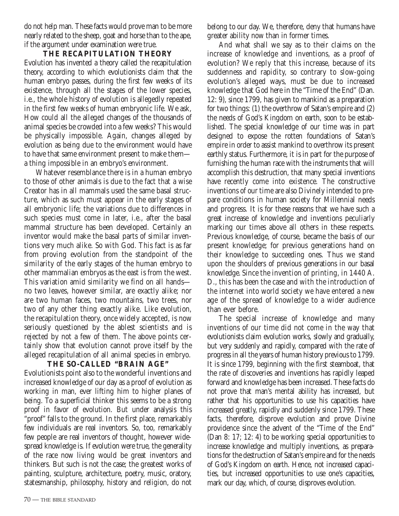do not help man. These facts would prove man to be more nearly related to the sheep, goat and horse than to the ape, if the argument under examination were true.

#### **THE RECAPITULATION THEORY**

Evolution has invented a theory called the recapitulation theory, according to which evolutionists claim that the human embryo passes, during the first few weeks of its existence, through all the stages of the lower species, i.e., the whole history of evolution is allegedly repeated in the first few weeks of human embryonic life. We ask, How could all the alleged changes of the thousands of animal species be crowded into a few weeks? This would be physically impossible. Again, changes alleged by evolution as being due to the environment would have to have that same environment present to make them a thing impossible in an embryo's environment.

Whatever resemblance there is in a human embryo to those of other animals is due to the fact that a wise Creator has in all mammals used the same basal structure, which as such must appear in the early stages of all embryonic life; the variations due to differences in such species must come in later, i.e., after the basal mammal structure has been developed. Certainly an inventor would make the basal parts of similar inventions very much alike. So with God. This fact is as far from proving evolution from the standpoint of the similarity of the early stages of the human embryo to other mammalian embryos as the east is from the west. This variation amid similarity we find on all hands no two leaves, however similar, are exactly alike; nor are two human faces, two mountains, two trees, nor two of any other thing exactly alike. Like evolution, the recapitulation theory, once widely accepted, is now seriously questioned by the ablest scientists and is rejected by not a few of them. The above points certainly show that evolution cannot prove itself by the alleged recapitulation of all animal species in embryo.

#### **THE SO-CALLED "BRAIN AGE"**

Evolutionists point also to the wonderful inventions and increased knowledge of our day as a proof of evolution as working in man, ever lifting him to higher planes of being. To a superficial thinker this seems to be a strong proof in favor of evolution. But under analysis this "proof" falls to the ground. In the first place, remarkably few individuals are real inventors. So, too, remarkably few people are real inventors of thought, however widespread knowledge is. If evolution were true, the generality of the race now living would be great inventors and thinkers. But such is not the case; the greatest works of painting, sculpture, architecture, poetry, music, oratory, statesmanship, philosophy, history and religion, do not belong to our day. We, therefore, deny that humans have greater ability now than in former times.

And what shall we say as to their claims on the increase of knowledge and inventions, as a proof of evolution? We reply that this increase, because of its suddenness and rapidity, so contrary to slow-going evolution's alleged ways, must be due to increased knowledge that God here in the "Time of the End" (Dan. 12: 9), since 1799, has given to mankind as a preparation for two things: (1) the overthrow of Satan's empire and (2) the needs of God's Kingdom on earth, soon to be established. The special knowledge of our time was in part designed to expose the rotten foundations of Satan's empire in order to assist mankind to overthrow its present earthly status. Furthermore, it is in part for the purpose of furnishing the human race with the instruments that will accomplish this destruction, that many special inventions have recently come into existence. The constructive inventions of our time are also Divinely intended to prepare conditions in human society for Millennial needs and progress. It is for these reasons that we have such a great increase of knowledge and inventions peculiarly marking our times above all others in these respects. Previous knowledge, of course, became the basis of our present knowledge; for previous generations hand on their knowledge to succeeding ones. Thus we stand upon the shoulders of previous generations in our basal knowledge. Since the invention of printing, in 1440 A. D., this has been the case and with the introduction of the internet into world society we have entered a new age of the spread of knowledge to a wider audience than ever before.

The special increase of knowledge and many inventions of our time did not come in the way that evolutionists claim evolution works, slowly and gradually, but very suddenly and rapidly, compared with the rate of progress in all the years of human history previous to 1799. It is since 1799, beginning with the first steamboat, that the rate of discoveries and inventions has rapidly leaped forward and knowledge has been increased. These facts do not prove that man's mental ability has increased, but rather that his opportunities to use his capacities have increased greatly, rapidly and suddenly since 1799. These facts, therefore, disprove evolution and prove Divine providence since the advent of the "Time of the End" (Dan 8: 17; 12: 4) to be working special opportunities to increase knowledge and multiply inventions, as preparations for the destruction of Satan's empire and for the needs of God's Kingdom on earth. Hence, not increased capacities, but increased opportunities to use one's capacities, mark our day, which, of course, disproves evolution.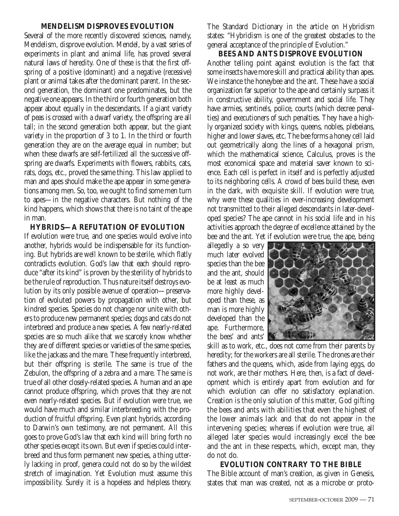#### **MENDELISM DISPROVES EVOLUTION**

Several of the more recently discovered sciences, namely, Mendelism, disprove evolution. Mendel, by a vast series of experiments in plant and animal life, has proved several natural laws of heredity. One of these is that the first offspring of a positive (dominant) and a negative (recessive) plant or animal takes after the dominant parent. In the second generation, the dominant one predominates, but the negative one appears. In the third or fourth generation both appear about equally in the descendants. If a giant variety of peas is crossed with a dwarf variety, the offspring are all tall; in the second generation both appear, but the giant variety in the proportion of 3 to 1. In the third or fourth generation they are on the average equal in number; but when these dwarfs are self-fertilized all the successive offspring are dwarfs. Experiments with flowers, rabbits, cats, rats, dogs, etc., proved the same thing. This law applied to man and apes should make the ape appear in some generations among men. So, too, we ought to find some men turn to apes—in the negative characters. But nothing of the kind happens, which shows that there is no taint of the ape in man.

**HYBRIDS—A REFUTATION OF EVOLUTION** If evolution were true, and one species would evolve into another, hybrids would be indispensable for its functioning. But hybrids are well known to be sterile, which flatly contradicts evolution. God's law that each should reproduce "after its kind" is proven by the sterility of hybrids to be the rule of reproduction. Thus nature itself destroys evolution by its only possible avenue of operation—preservation of evoluted powers by propagation with other, but kindred species. Species do not change nor unite with others to produce new permanent species; dogs and cats do not interbreed and produce a new species. A few nearly-related species are so much alike that we scarcely know whether they are of different species or varieties of the same species, like the jackass and the mare. These frequently interbreed, but their offspring is sterile. The same is true of the Zebulon, the offspring of a zebra and a mare. The same is true of all other closely-related species. A human and an ape cannot produce offspring, which proves that they are not even nearly-related species. But if evolution were true, we would have much and similar interbreeding with the production of fruitful offspring. Even plant hybrids, according to Darwin's own testimony, are not permanent. All this goes to prove God's law that each kind will bring forth no other species except its own. But even if species could interbreed and thus form permanent new species, a thing utterly lacking in proof, genera could not do so by the wildest stretch of imagination. Yet Evolution must assume this impossibility. Surely it is a hopeless and helpless theory. The Standard Dictionary in the article on Hybridism states: "Hybridism is one of the greatest obstacles to the general acceptance of the principle of Evolution."

**BEES AND ANTS DISPROVE EVOLUTION** Another telling point against evolution is the fact that some insects have more skill and practical ability than apes. We instance the honeybee and the ant. These have a social organization far superior to the ape and certainly surpass it in constructive ability, government and social life. They have armies, sentinels, police, courts (which decree penalties) and executioners of such penalties. They have a highly organized society with kings, queens, nobles, plebeians, higher and lower slaves, etc. The bee forms a honey cell laid out geometrically along the lines of a hexagonal prism, which the mathematical science, Calculus, proves is the most economical space and material saver known to science. Each cell is perfect in itself and is perfectly adjusted to its neighboring cells. A crowd of bees build these, even in the dark, with exquisite skill. If evolution were true, why were these qualities in ever-increasing development not transmitted to their alleged descendants in later-developed species? The ape cannot in his social life and in his activities approach the degree of excellence attained by the bee and the ant. Yet if evolution were true, the ape, being

allegedly a so very much later evolved species than the bee and the ant, should be at least as much more highly developed than these, as man is more highly developed than the ape. Furthermore, the bees' and ants'



skill as to work, etc., does not come from their parents by heredity; for the workers are all sterile. The drones are their fathers and the queens, which, aside from laying eggs, do not work, are their mothers. Here, then, is a fact of development which is entirely apart from evolution and for which evolution can offer no satisfactory explanation. Creation is the only solution of this matter, God gifting the bees and ants with abilities that even the highest of the lower animals lack and that do not appear in the intervening species; whereas if evolution were true, all alleged later species would increasingly excel the bee and the ant in these respects, which, except man, they do not do.

**EVOLUTION CONTRARY TO THE BIBLE** The Bible account of man's creation, as given in Genesis, states that man was created, not as a microbe or proto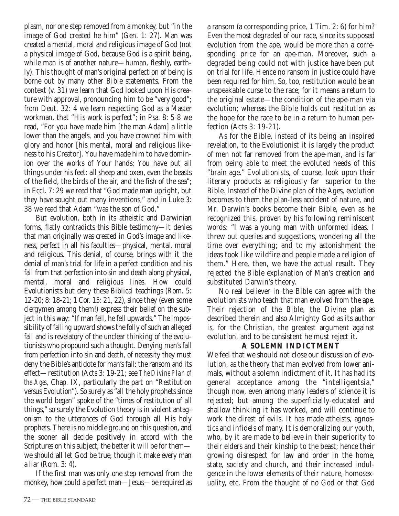plasm, nor one step removed from a monkey, but "in the image of God created he him" (Gen. 1: 27). Man was created a mental, moral and religious image of God (not a physical image of God, because God is a spirit being, while man is of another nature—human, fleshly, earthly). This thought of man's original perfection of being is borne out by many other Bible statements. From the context (v. 31) we learn that God looked upon His creature with approval, pronouncing him to be "very good"; from Deut. 32: 4 we learn respecting God as a Master workman, that "His work is perfect"; in Psa. 8: 5-8 we read, "For you have made him [the man Adam] a little lower than the angels, and you have crowned him with glory and honor [his mental, moral and religious likeness to his Creator]. You have made him to have dominion over the works of Your hands; You have put all things under his feet: all sheep and oxen, even the beasts of the field, the birds of the air, and the fish of the sea"; in Eccl. 7: 29 we read that "God made man upright, but they have sought out many inventions," and in Luke 3: 38 we read that Adam "was the son of God."

But evolution, both in its atheistic and Darwinian forms, flatly contradicts this Bible testimony—it denies that man originally was created in God's image and likeness, perfect in all his faculties—physical, mental, moral and religious. This denial, of course, brings with it the denial of man's trial for life in a perfect condition and his fall from that perfection into sin and death along physical, mental, moral and religious lines. How could Evolutionists but deny these Biblical teachings (Rom. 5: 12-20; 8: 18-21; 1 Cor. 15: 21, 22), since they (even some clergymen among them!) express their belief on the subject in this way: "If man fell, he fell upwards." The impossibility of falling upward shows the folly of such an alleged fall and is revelatory of the unclear thinking of the evolutionists who propound such a thought. Denying man's fall from perfection into sin and death, of necessity they must deny the Bible's antidote for man's fall: the ransom and its effect—restitution (Acts 3: 19-21; see *The Divine Plan of the Ages*, Chap. IX, particularly the part on "Restitution versus Evolution"). So surely as "all the holy prophets since the world began" spoke of the "times of restitution of all things," so surely the Evolution theory is in violent antagonism to the utterances of God through all His holy prophets. There is no middle ground on this question, and the sooner all decide positively in accord with the Scriptures on this subject, the better it will be for them we should all let God be true, though it make every man a liar (Rom. 3: 4).

If the first man was only one step removed from the monkey, how could a perfect man—Jesus—be required as a ransom (a corresponding price, 1 Tim. 2: 6) for him? Even the most degraded of our race, since its supposed evolution from the ape, would be more than a corresponding price for an ape-man. Moreover, such a degraded being could not with justice have been put on trial for life. Hence no ransom in justice could have been required for him. So, too, restitution would be an unspeakable curse to the race; for it means a return to the original estate—the condition of the ape-man via evolution; whereas the Bible holds out restitution as the hope for the race to be in a return to human perfection (Acts 3: 19-21).

As for the Bible, instead of its being an inspired revelation, to the Evolutionist it is largely the product of men not far removed from the ape-man, and is far from being able to meet the evoluted needs of this "brain age." Evolutionists, of course, look upon their literary products as religiously far superior to the Bible. Instead of the Divine plan of the Ages, evolution becomes to them the plan-less accident of nature, and Mr. Darwin's books become their Bible, even as he recognized this, proven by his following reminiscent words: "I was a young man with unformed ideas. I threw out queries and suggestions, wondering all the time over everything; and to my astonishment the ideas took like wildfire and people made a religion of them." Here, then, we have the actual result. They rejected the Bible explanation of Man's creation and substituted Darwin's theory.

No real believer in the Bible can agree with the evolutionists who teach that man evolved from the ape. Their rejection of the Bible, the Divine plan as described therein and also Almighty God as its author is, for the Christian, the greatest argument against evolution, and to be consistent he must reject it.

#### **A SOLEMN INDICTMENT**

We feel that we should not close our discussion of evolution, as the theory that man evolved from lower animals, without a solemn indictment of it. It has had its general acceptance among the "intelligentsia," though now, even among many leaders of science it is rejected; but among the superficially-educated and shallow thinking it has worked, and will continue to work the direst of evils. It has made atheists, agnostics and infidels of many. It is demoralizing our youth, who, by it are made to believe in their superiority to their elders and their kinship to the beast; hence their growing disrespect for law and order in the home, state, society and church, and their increased indulgence in the lower elements of their nature, homosexuality, etc. From the thought of no God or that God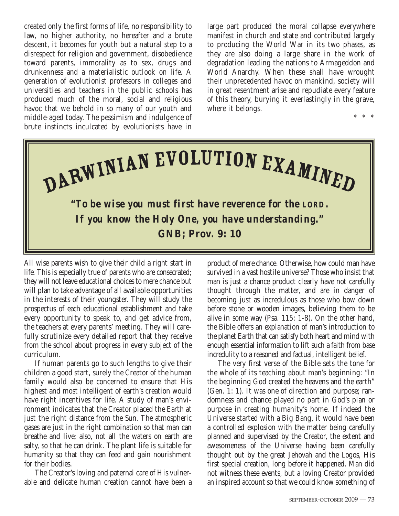created only the first forms of life, no responsibility to law, no higher authority, no hereafter and a brute descent, it becomes for youth but a natural step to a disrespect for religion and government, disobedience toward parents, immorality as to sex, drugs and drunkenness and a materialistic outlook on life. A generation of evolutionist professors in colleges and universities and teachers in the public schools has produced much of the moral, social and religious havoc that we behold in so many of our youth and middle-aged today. The pessimism and indulgence of brute instincts inculcated by evolutionists have in

large part produced the moral collapse everywhere manifest in church and state and contributed largely to producing the World War in its two phases, as they are also doing a large share in the work of degradation leading the nations to Armageddon and World Anarchy. When these shall have wrought their unprecedented havoc on mankind, society will in great resentment arise and repudiate every feature of this theory, burying it everlastingly in the grave, where it belongs.

\* \* \*



All wise parents wish to give their child a right start in life. This is especially true of parents who are consecrated; they will not leave educational choices to mere chance but will plan to take advantage of all available opportunities in the interests of their youngster. They will study the prospectus of each educational establishment and take every opportunity to speak to, and get advice from, the teachers at every parents' meeting. They will carefully scrutinize every detailed report that they receive from the school about progress in every subject of the curriculum.

If human parents go to such lengths to give their children a good start, surely the Creator of the human family would also be concerned to ensure that His highest and most intelligent of earth's creation would have right incentives for life. A study of man's environment indicates that the Creator placed the Earth at just the right distance from the Sun. The atmospheric gases are just in the right combination so that man can breathe and live; also, not all the waters on earth are salty, so that he can drink. The plant life is suitable for humanity so that they can feed and gain nourishment for their bodies.

The Creator's loving and paternal care of His vulnerable and delicate human creation cannot have been a product of mere chance. Otherwise, how could man have survived in a vast hostile universe? Those who insist that man is just a chance product clearly have not carefully thought through the matter, and are in danger of becoming just as incredulous as those who bow down before stone or wooden images, believing them to be alive in some way (Psa. 115: 1-8). On the other hand, the Bible offers an explanation of man's introduction to the planet Earth that can satisfy both heart and mind with enough essential information to lift such a faith from base incredulity to a reasoned and factual, intelligent belief.

The very first verse of the Bible sets the tone for the whole of its teaching about man's beginning: "In the beginning God created the heavens and the earth" (Gen. 1: 1). It was one of direction and purpose; randomness and chance played no part in God's plan or purpose in creating humanity's home. If indeed the Universe started with a Big Bang, it would have been a controlled explosion with the matter being carefully planned and supervised by the Creator, the extent and awesomeness of the Universe having been carefully thought out by the great Jehovah and the Logos, His first special creation, long before it happened. Man did not witness these events, but a loving Creator provided an inspired account so that we could know something of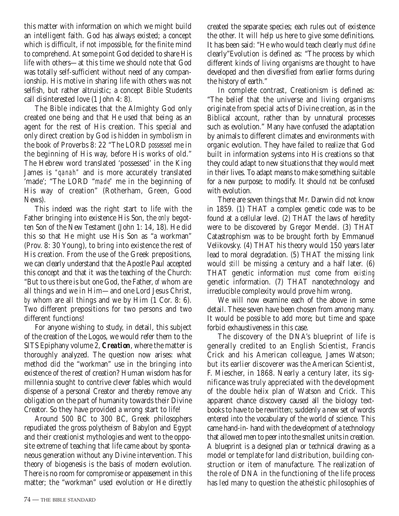this matter with information on which we might build an intelligent faith. God has always existed; a concept which is difficult, if not impossible, for the finite mind to comprehend. At some point God decided to share His life with others—at this time we should note that God was totally self-sufficient without need of any companionship. His motive in sharing life with others was not selfish, but rather altruistic; a concept Bible Students call disinterested love (1 John 4: 8).

The Bible indicates that the Almighty God only created one being and that He used that being as an agent for the rest of His creation. This special and only direct creation by God is hidden in symbolism in the book of Proverbs 8: 22 "The LORD *possessed* me in the beginning of His way, before His works of old." The Hebrew word translated 'possessed' in the King James is *"qanah"* and is more accurately translated 'made'; "The LORD "*made"* me in the beginning of His way of creation" (Rotherham, Green, Good News).

This indeed was the right start to life with the Father bringing into existence His Son, the *only* begotten Son of the New Testament (John 1: 14, 18). He did this so that He might use His Son as "a workman" (Prov. 8: 30 Young), to bring into existence the rest of His creation. From the use of the Greek prepositions, we can clearly understand that the Apostle Paul accepted this concept and that it was the teaching of the Church: "But to us there is but one God, the Father, *of* whom are all things and we in Him—and one Lord Jesus Christ, *by* whom are all things and we by Him (1 Cor. 8: 6). Two different prepositions for two persons and two different functions!

For anyone wishing to study, in detail, this subject of the creation of the Logos, we would refer them to the SITS Epiphany volume 2, *Creation*, where the matter is thoroughly analyzed. The question now arises: what method did the "workman" use in the bringing into existence of the rest of creation? Human wisdom has for millennia sought to contrive clever fables which would dispense of a personal Creator and thereby remove any obligation on the part of humanity towards their Divine Creator. So they have provided a wrong start to life!

Around 500 BC to 300 BC, Greek philosophers repudiated the gross polytheism of Babylon and Egypt and their creationist mythologies and went to the opposite extreme of teaching that life came about by spontaneous generation without any Divine intervention. This theory of biogenesis is the basis of modern evolution. There is no room for compromise or appeasement in this matter; the "workman" used evolution or He directly created the separate species; each rules out of existence the other. It will help us here to give some definitions. It has been said: "He who would teach clearly *must define* clearly"Evolution is defined as: "The process by which different kinds of living organisms are thought to have developed and then diversified from earlier forms during the history of earth."

In complete contrast, Creationism is defined as: "The belief that the universe and living organisms originate from special acts of Divine creation, as in the Biblical account, rather than by unnatural processes such as evolution." Many have confused the adaptation by animals to different climates and environments with organic evolution. They have failed to realize that God built in information systems into His creations so that they could adapt to new situations that they would meet in their lives. To adapt means to make something suitable for a new purpose; to modify. It should *not* be confused with evolution.

There are seven things that Mr. Darwin did not know in 1859. (1) THAT a complex genetic code was to be found at a cellular level. (2) THAT the laws of heredity were to be discovered by Gregor Mendel. (3) THAT Catastrophism was to be brought forth by Emmanuel Velikovsky. (4) THAT his theory would 150 years later lead to moral degradation. (5) THAT the missing link would *still* be missing a century and a half later. (6) THAT genetic information *must* come from *existing* genetic information. (7) THAT nanotechnology and irreducible complexity would prove him wrong.

We will now examine each of the above in some detail. These seven have been chosen from among many. It would be possible to add more; but time and space forbid exhaustiveness in this case.

The discovery of the DNA's blueprint of life is generally credited to an English Scientist, Francis Crick and his American colleague, James Watson; but its earlier discoverer was the American Scientist, F. Miescher, in 1868. Nearly a century later, its significance was truly appreciated with the development of the double helix plan of Watson and Crick. This apparent chance discovery caused all the biology textbooks to have to be rewritten; suddenly a new set of words entered into the vocabulary of the world of science. This came hand-in- hand with the development of a technology that allowed men to peer into the smallest units in creation. A blueprint is a designed plan or technical drawing as a model or template for land distribution, building construction or item of manufacture. The realization of the role of DNA in the functioning of the life process has led many to question the atheistic philosophies of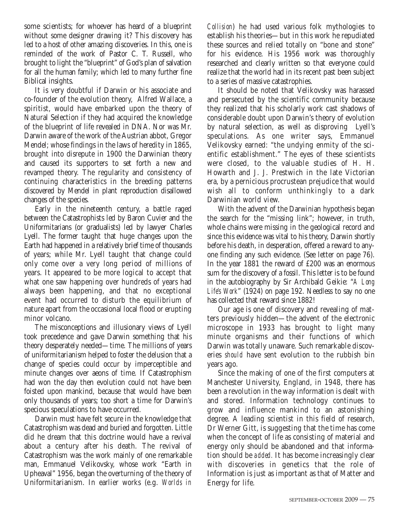some scientists; for whoever has heard of a blueprint without some designer drawing it? This discovery has led to a host of other amazing discoveries. In this, one is reminded of the work of Pastor C. T. Russell, who brought to light the "blueprint" of God's plan of salvation for all the human family; which led to many further fine Biblical insights.

It is very doubtful if Darwin or his associate and co-founder of the evolution theory, Alfred Wallace, a spiritist, would have embarked upon the theory of Natural Selection if they had acquired the knowledge of the blueprint of life revealed in DNA. Nor was Mr. Darwin aware of the work of the Austrian abbot, Gregor Mendel; whose findings in the laws of heredity in 1865, brought into disrepute in 1900 the Darwinian theory and caused its supporters to set forth a new and revamped theory. The regularity and consistency of continuing characteristics in the breeding patterns discovered by Mendel in plant reproduction disallowed changes of the species.

Early in the nineteenth century, a battle raged between the Catastrophists led by Baron Cuvier and the Uniformitarians (or gradualists) led by lawyer Charles Lyell. The former taught that huge changes upon the Earth had happened in a relatively brief time of thousands of years; while Mr. Lyell taught that change could only come over a very long period of millions of years. It appeared to be more logical to accept that what one saw happening over hundreds of years had always been happening, and that no exceptional event had occurred to disturb the equilibrium of nature apart from the occasional local flood or erupting minor volcano.

The misconceptions and illusionary views of Lyell took precedence and gave Darwin something that his theory desperately needed—time. The millions of years of uniformitarianism helped to foster the delusion that a change of species could occur by imperceptible and minute changes over aeons of time. If Catastrophism had won the day then evolution could not have been foisted upon mankind, because that would have been only thousands of years; too short a time for Darwin's specious speculations to have occurred.

Darwin must have felt secure in the knowledge that Catastrophism was dead and buried and forgotten. Little did he dream that this doctrine would have a revival about a century after his death. The revival of Catastrophism was the work mainly of one remarkable man, Emmanuel Velikovsky, whose work "Earth in Upheaval" 1956, began the overturning of the theory of Uniformitarianism. In earlier works (e.g. *Worlds in*

*Collision*) he had used various folk mythologies to establish his theories—but in this work he repudiated these sources and relied totally on "bone and stone" for his evidence. His 1956 work was thoroughly researched and clearly written so that everyone could realize that the world had in its recent past been subject to a series of massive catastrophies.

It should be noted that Velikovsky was harassed and persecuted by the scientific community because they realized that his scholarly work cast shadows of considerable doubt upon Darwin's theory of evolution by natural selection, as well as disproving Lyell's speculations. As one writer says, Emmanuel Velikovsky earned: "the undying enmity of the scientific establishment." The eyes of these scientists were closed, to the valuable studies of H. H. Howarth and J. J. Prestwich in the late Victorian era, by a pernicious procrustean prejudice that would wish all to conform unthinkingly to a dark Darwinian world view.

With the advent of the Darwinian hypothesis began the search for the "missing link"; however, in truth, whole chains were missing in the geological record and since this evidence was vital to his theory, Darwin shortly before his death, in desperation, offered a reward to anyone finding any such evidence. (See letter on page 76). In the year 1881 the reward of £200 was an enormous sum for the discovery of a fossil. This letter is to be found in the autobiography by Sir Archibald Geikie: "*A Long Life's Work*" (1924) on page 192. Needless to say no one has collected that reward since 1882!

Our age is one of discovery and revealing of matters previously hidden—the advent of the electronic microscope in 1933 has brought to light many minute organisms and their functions of which Darwin was totally unaware. Such remarkable discoveries *should* have sent evolution to the rubbish bin years ago.

Since the making of one of the first computers at Manchester University, England, in 1948, there has been a revolution in the way information is dealt with and stored. Information technology continues to grow and influence mankind to an astonishing degree. A leading scientist in this field of research, Dr Werner Gitt, is suggesting that the time has come when the concept of life as consisting of material and energy only should be abandoned and that information should be *added.* It has become increasingly clear with discoveries in genetics that the role of Information is just as important as that of Matter and Energy for life.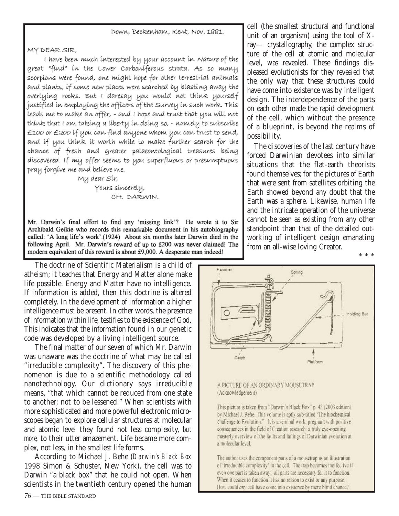#### Down, Beckenham, Kent, Nov. 1881.

MY DEAR SIR,

I have been much interested by your account in Nature of the great "find" in the Lower Carboniferous strata. As so many scorpions were found, one might hope for other terrestrial animals and plants, if some new places were searched by blasting away the overlying rocks. But I daresay you would not think yourself justified in employing the officers of the Survey in such work. This leads me to make an offer, - and I hope and trust that you will not thínk that I am taking a líberty in doing so, - namely to subscríbe £100 or £200 íf you can find anyone whom you can trust to send, and if you think it worth while to make further search for the chance of fresh and greater palaeontological treasures being discovered. If my offer seems to you superfluous or presumptuous pray forgive me and believe me.

My dear Sír,

Yours sincerely, CH. DARWIN.

Mr. Darwin's final effort to find any 'missing link'? He wrote it to Sir Archibald Geikie who records this remarkable document in his autobiography called: 'A long life's work'.(1924) About six months later Darwin died in the following April. Mr. Darwin's reward of up to £200 was never claimed! The modern equivalent of this reward is about £9,000. A desperate man indeed!

The doctrine of Scientific Materialism is a child of atheism; it teaches that Energy and Matter alone make life possible. Energy and Matter have no intelligence. If information is added, then this doctrine is altered completely. In the development of information a higher intelligence must be present. In other words, the presence of information within life, testifies to the existence of God. This indicates that the information found in our genetic code was developed by a living intelligent source.

The final matter of our seven of which Mr. Darwin was unaware was the doctrine of what may be called "irreducible complexity". The discovery of this phenomenon is due to a scientific methodology called nanotechnology. Our dictionary says irreducible means, "that which cannot be reduced from one state to another; not to be lessened." When scientists with more sophisticated and more powerful electronic microscopes began to explore cellular structures at molecular and atomic level they found not less complexity, *but more*, to their utter amazement. Life became more complex, not less, in the smallest life forms.

According to Michael J. Behe (*Darwin's Black Box* 1998 Simon & Schuster, New York), the cell was to Darwin "a black box" that he could not open. When scientists in the twentieth century opened the human

cell (the smallest structural and functional unit of an organism) using the tool of Xray— crystallography, the complex structure of the cell at atomic and molecular level, was revealed. These findings displeased evolutionists for they revealed that the only way that these structures could have come into existence was by intelligent design. The interdependence of the parts on each other made the rapid development of the cell, which without the presence of a blueprint, is beyond the realms of possibility.

The discoveries of the last century have forced Darwinian devotees into similar situations that the flat-earth theorists found themselves; for the pictures of Earth that were sent from satellites orbiting the Earth showed beyond any doubt that the Earth was a sphere. Likewise, human life and the intricate operation of the universe cannot be seen as existing from any other standpoint than that of the detailed outworking of intelligent design emanating from an all-wise loving Creator. \* \* \*



#### A PICTURE OF AN ORDINARY MOUSETRAP (Acknowledgement)

This picture is taken from "Darwin's Black Box" p. 43 (2003 edition) by Michael J. Behe. This volume is aptly sub-titled "The biochemical challenge to Evolution." It is a seminal work, pregnant with positive consequences in the field of Creation rescarch: a truly cyc-opening masterly overview of the faults and failings of Darwinian evolution at a molecular level.

The author uses the component parts of a mousetrap as an illustration of 'irreducible complexity' in the cell. The trap becomes ineffective if even one part is taken away; all parts are necessary for it to function. When it ccases to function it has no reason to exist or any purpose. How could any cell have come into existence by mere blind chance?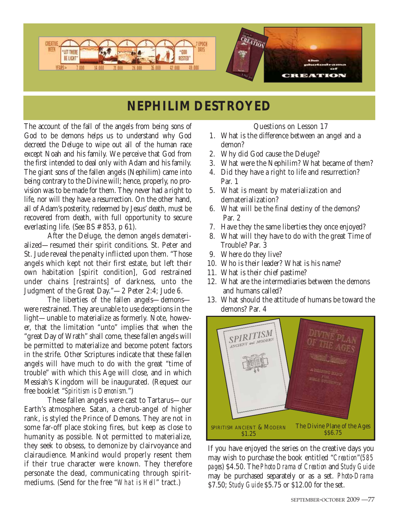

# **NEPHILIM DESTROYED**

The account of the fall of the angels from being sons of God to be demons helps us to understand why God decreed the Deluge to wipe out all of the human race except Noah and his family. We perceive that God from the first intended to deal only with Adam and his family. The giant sons of the fallen angels (Nephilim) came into being contrary to the Divine will; hence, properly, no provision was to be made for them. They never had a right to life, nor will they have a resurrection. On the other hand, all of Adam's posterity, redeemed by Jesus' death, must be recovered from death, with full opportunity to secure everlasting life. (See BS # 853, p 61).

After the Deluge, the demon angels dematerialized—resumed their spirit conditions. St. Peter and St. Jude reveal the penalty inflicted upon them. "Those angels which kept not their first estate, but left their own habitation [spirit condition], God restrained under chains [restraints] of darkness, unto the Judgment of the Great Day."—2 Peter 2:4; Jude 6.

The liberties of the fallen angels—demons were restrained. They are unable to use deceptions in the light—unable to materialize as formerly. Note, however, that the limitation "unto" implies that when the "great Day of Wrath" shall come, these fallen angels will be permitted to materialize and become potent factors in the strife. Other Scriptures indicate that these fallen angels will have much to do with the great "time of trouble" with which this Age will close, and in which Messiah's Kingdom will be inaugurated. (Request our free booklet "*Spiritism is Demonism.*")

These fallen angels were cast to Tartarus—our Earth's atmosphere. Satan, a cherub-angel of higher rank, is styled the Prince of Demons. They are not in some far-off place stoking fires, but keep as close to humanity as possible. Not permitted to materialize, they seek to obsess, to demonize by clairvoyance and clairaudience. Mankind would properly resent them if their true character were known. They therefore personate the dead, communicating through spiritmediums. (Send for the free "*What is Hell*" tract.)

Questions on Lesson 17

- 1. What is the difference between an angel and a demon?
- 2. Why did God cause the Deluge?
- 3. What were the Nephilim? What became of them?
- 4. Did they have a right to life and resurrection? Par. 1
- 5. What is meant by materialization and dematerialization?
- 6. What will be the final destiny of the demons? Par. 2
- 7. Have they the same liberties they once enjoyed?
- 8. What will they have to do with the great Time of Trouble? Par. 3
- 9. Where do they live?
- 10. Who is their leader? What is his name?
- 11. What is their chief pastime?
- 12. What are the intermediaries between the demons and humans called?
- 13. What should the attitude of humans be toward the demons? Par. 4



If you have enjoyed the series on the creative days you may wish to purchase the book entitled "*Creation*"(*585 pages*) \$4.50. The *Photo Drama of Creation* and *Study Guide* may be purchased separately or as a set. *Photo-Drama* \$7.50; *Study Guide* \$5.75 or \$12.00 for the set.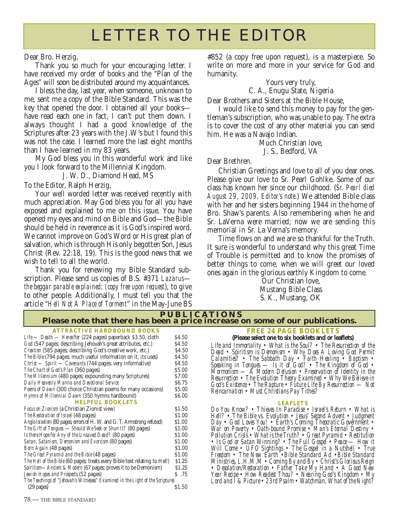# LETTER TO THE EDITOR

Dear Bro. Herzig,

Thank you so much for your encouraging letter. I have received my order of books and the "Plan of the Ages" will soon be distributed around my acquaintances.

I bless the day, last year, when someone, unknown to me, sent me a copy of the Bible Standard. This was the key that opened the door. I obtained all your books have read each one in fact, I can't put them down. I always thought I had a good knowledge of the Scriptures after 23 years with the J.W's but I found this was not the case. I learned more the last eight months than I have learned in my 83 years.

My God bless you in this wonderful work and like you I look forward to the Millennial Kingdom.

J. W. D., Diamond Head, MS

To the Editor, Ralph Herzig,

Your well worded letter was received recently with much appreciation. May God bless you for all you have exposed and explained to me on this issue. You have opened my eyes and mind on Bible and God—the Bible should be held in reverence as it is God's inspired word. We cannot improve on God's Word or His great plan of salvation, which is through His only begotten Son, Jesus Christ (Rev. 22:18, 19). This is the good news that we wish to tell to all the world.

Thank you for renewing my Bible Standard subscription. Please send us copies of B.S. #371 *Lazarus the beggar parable explained; (copy free upon request*), to give to other people. Additionally, I must tell you that the article "*Hell Not A Place of Torment*" in the May-June BS

#852 (a copy free upon request), is a masterpiece. So write on more and more in your service for God and humanity.

Yours very truly,

C. A., Enugu State, Nigeria

Dear Brothers and Sisters at the Bible House,

I would like to send this money to pay for the gentleman's subscription, who was unable to pay. The extra is to cover the cost of any other material you can send him. He was a Navajo Indian.

Much Christian love, J. S., Bedford, VA

Dear Brethren.

Christian Greetings and love to all of you dear ones. Please give our love to Sr. Pearl Gohlke. Some of our class has known her since our childhood. (*Sr. Pearl died August 29, 2009, Editor's note*.) We attended Bible class with her and her sisters beginning 1944 in the home of Bro. Shaw's parents. Also remembering when he and Sr. LaVerna were married; now we are sending this memorial in Sr. La Verna's memory.

Time flows on and we are so thankful for the Truth. It sure is wonderful to understand why this great Time of Trouble is permitted and to know the promises of better things to come, when we will greet our loved ones again in the glorious earthly Kingdom to come.

> Our Christian love, Mustang Bible Class S. K., Mustang, OK

| <b>PUBLICATIONS</b>                                                                                                                                                                                                                                                                                                                                                                                                                                                                                                                                                                                                                                                                                                                                                                                        |                                                                                                                              |                                                                                                                                                                                                                                                                                                                                                                                                                                                                                                                                                                                                                                                                                                                                                                                                                                    |  |
|------------------------------------------------------------------------------------------------------------------------------------------------------------------------------------------------------------------------------------------------------------------------------------------------------------------------------------------------------------------------------------------------------------------------------------------------------------------------------------------------------------------------------------------------------------------------------------------------------------------------------------------------------------------------------------------------------------------------------------------------------------------------------------------------------------|------------------------------------------------------------------------------------------------------------------------------|------------------------------------------------------------------------------------------------------------------------------------------------------------------------------------------------------------------------------------------------------------------------------------------------------------------------------------------------------------------------------------------------------------------------------------------------------------------------------------------------------------------------------------------------------------------------------------------------------------------------------------------------------------------------------------------------------------------------------------------------------------------------------------------------------------------------------------|--|
| Please note that there has been a price increase on some of our publications.                                                                                                                                                                                                                                                                                                                                                                                                                                                                                                                                                                                                                                                                                                                              |                                                                                                                              |                                                                                                                                                                                                                                                                                                                                                                                                                                                                                                                                                                                                                                                                                                                                                                                                                                    |  |
| <b>ATTRACTIVE HARDBOUND BOOKS</b><br>Life — Death — Hereafter (224 pages) paperback \$3.50, cloth<br>God (547 pages; describing Jehovah's great attributes, etc.)<br>Creation (585 pages; describing God's creative work, etc.)<br>The Bible (794 pages; much useful information on it, its uses)<br><i>Christ</i> — <i>Spirit</i> — <i>Covenants</i> (744 pages, very informative)<br>The Chart of God's Plan (360 pages)<br>The Millennium (480 pages; expounding many Scriptures)<br>Daily Heavenly Manna and Devotional Service<br>Poems of Dawn (300 choice Christian poems for many occasions)                                                                                                                                                                                                       | \$4.50<br>\$4.50<br>\$4.50<br>\$4.50<br>\$4.50<br>\$5.00<br>\$7.00<br>\$6.75<br>\$5.00                                       | <b>FREE 24 PAGE BOOKLETS</b><br>(Please select one to six booklets and or leaflets)<br>Life and Immortality • What is the Soul? • The Resurrection of the<br>Dead • Spiritism is Demonism • Why Does A Loving God Permit<br>Calamities? • The Sabbath Day • Faith Healing • Baptism •<br>Speaking in Tongues — Is it of God? • The Kingdom of God •<br>Mormonism — $\ddot{A}$ Modern Delusion • Preservation of Identity in the<br>Resurrection • The Evolution Theory Examined • Why We Believe in<br>God's Existence • The Rapture • Future Life By Resurrection $-$ Not<br>Reincarnation • Must Christians Pay Tithes?                                                                                                                                                                                                          |  |
| Hymns of Millennial Dawn (350 hymns hardbound)<br><b>HELPFUL BOOKLETS</b><br>Focus on Zionism (a Christian Zionist view)<br>The Restoration of Israel (48 pages)<br>Anglo-Israelism (80 pages; errors of H. W. and G. T. Armstrong refuted)<br>The Gift of Tongues - Should We Seek or Shun It? (80 pages)<br>Is there Hope for Any of the Unsaved Dead? (80 pages)<br>Satan, Satanism, Demonism and Exorcism (80 pages)<br><i>Born Again</i> (48 pages)<br>The Great Pyramid and the Bible (48 pages)<br>The Hell of the Bible (60 pages; treats every Bible text relating to Hell)<br>Spiritism-Ancient & Modern (67 pages; proves it to be Demonism)<br>Jewish Hopes and Prospects (52 pages)<br>The Teachings of "Jehovah's Witnesses" Examined in the Light of the Scriptures<br>$(29 \text{ pages})$ | \$6.00<br>\$1.50<br>\$1.00<br>\$1.00<br>\$1.00<br>\$1.00<br>\$1.00<br>\$1.00<br>\$1.00<br>\$1.25<br>\$1.25<br>S.75<br>\$1.50 | <b>LEAFLETS</b><br>Do You Know? • Thieves In Paradise • Israel's Return • What is<br>Hell? • The Bible vs. Evolution • Jesus' Second Advent • Judgment<br>Day . God Loves You! . Earth's Coming Theoratic Government .<br>War on Poverty • Oath-bound Promise • Man's Eternal Destiny • Pollution Crisis • What is the Truth? • Great Pyramid • Restitution<br>• Is God or Satan Winning? • The Full Gospel • Peace - How it<br>Will Come • UFO Sightings • The Gospel'in a Nutshell • True<br>Freedom • The New Earth • Bible Standard Ad • Bible Standard<br>Ministries, L.H.M.M • Coming By and By • Christ's Glorious Reign<br>• Desolation/Restoration • Father Take My Hand • A Good New<br>Year Recipe • How Readest Thou? • Nearing God's Kingdom • My<br>Lord and I & Picture • 23rd Psalm • Watchman, What of the Night? |  |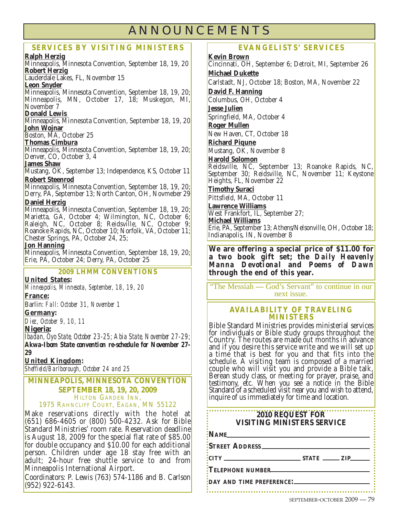## **ANNOUNCEMENTS**

#### **SERVICES BY VISITING MINISTERS**

**Ralph Herzig**

Minneapolis, Minnesota Convention, September 18, 19, 20 **Robert Herzig** Lauderdale Lakes, FL, November 15

**Leon Snyder**

Minneapolis, Minnesota Convention, September 18, 19, 20; Minneapolis, MN, October 17, 18; Muskegon, MI, November 7

#### **Donald Lewis**

Minneapolis, Minnesota Convention, September 18, 19, 20 **John Wojnar**

Boston, MA, October 25

#### **Thomas Cimbura**

Minneapolis, Minnesota Convention, September 18, 19, 20; Denver, CO, October 3, 4

#### **James Shaw**

Mustang, OK, September 13; Independence, KS, October 11 **Robert Steenrod**

Minneapolis, Minnesota Convention, September 18, 19, 20; Derry, PA, September 13; North Canton, OH, Novmeber 29 **Daniel Herzig**

Minneapolis, Minnesota Convention, September 18, 19, 20; Marietta, GA, October 4; Wilmington, NC, October 6; Raleigh, NC, October 8; Reidsville, NC, October 9; Roanoke Rapids, NC, October 10; Norfolk, VA, October 11; Chester Springs, PA, October 24, 25;

**Jon Hanning**

Minneapolis, Minnesota Convention, September 18, 19, 20; Erie, PA, October 24; Derry, PA, October 25

#### **2009 LHMM CONVENTIONS**

**United States:** 

*Minneapolis, Minnesota, September, 18, 19, 20*

#### **France:**

Barlin: *Fall: October 31, November 1*

#### **Germany:**

*Diez, October 9, 10, 11*

#### **Nigeria:**

*Ibadan, Oyo State, October 23-25; Abia State, November 27-29; Akwa-Ibom State convention re-schedule for November 27- 29*

#### **United Kingdom:**

*Sheffield/Barlborough, October 24 and 25*

#### **MINNEAPOLIS, MINNESOTA CONVENTION SEPTEMBER 18, 19, 20, 2009** 1975 RAHNCLIFF COURT, EAGAN, MN 55122

Make reservations directly with the hotel at (651) 686-4605 or (800) 500-4232. Ask for Bible Standard Ministries' room rate. Reservation deadline is August 18, 2009 for the special flat rate of \$85.00 for double occupancy and  $$10.00$  for each additional person. Children under age 18 stay free with an adult; 24-hour free shuttle service to and from Minneapolis International Airport.

Coordinators: P. Lewis (763) 574-1186 and B. Carlson (952) 922-6143.

#### **EVANGELISTS' SERVICES**

**Kevin Brown**

Cincinnati, OH, September 6; Detroit, MI, September 26 **Michael Dukette** Carlstadt, NJ, October 18; Boston, MA, November 22 **David F. Hanning** Columbus, OH, October 4 **Jesse Julien** Springfield, MA, October 4 **Roger Mullen** New Haven, CT, October 18 **Richard Piqune** Mustang, OK, November 8 **Harold Solomon** Reidsville, NC, September 13; Roanoke Rapids, NC, September 30; Reidsville, NC, November 11; Keystone Heights, FL, November 22 **Timothy Suraci** Pittsfield, MA, October 11 **Lawrence Williams** West Frankfort, IL, September 27; **Michael Williams** Erie, PA, September 13; Athens/Nelsonville, OH, October 18; Indianapolis, IN, November 8

**We are offering a special price of \$11.00 for a two book gift set; the** *Daily Heavenly Manna Devotiona***l and** *Poems of Dawn* **through the end of this year.**

"The Messiah **—** God's Servant" to continue in our next issue.

#### **AVAILABILITY OF TRAVELING MINISTERS**

Bible Standard Ministries provides ministerial services for individuals or Bible study groups throughout the Country. The routes are made out months in advance and if you desire this service write and we will set up a time that is best for you and that fits into the schedule. A visiting team is composed of a married<br>couple who will visit you and provide a Bible talk, Berean study class, or meeting for prayer, praise, and testimony, etc. When you see a notice in the Bible Standard of a scheduled visit near you and wish to attend, inquire of us immediately for time and location.

#### . . . . . . . . . . . . . **2010 REQUEST FOR VISITING MINISTERS SERVICE**

 $\cdot$ **NAME** 

**STREET ADDRESS**

**CITY STATE ZIP**

**TELEPHONE NUMBER**

**DAY AND TIME PREFERENCE:**

SEPTEMBER-OCTOBER 2009 — 79